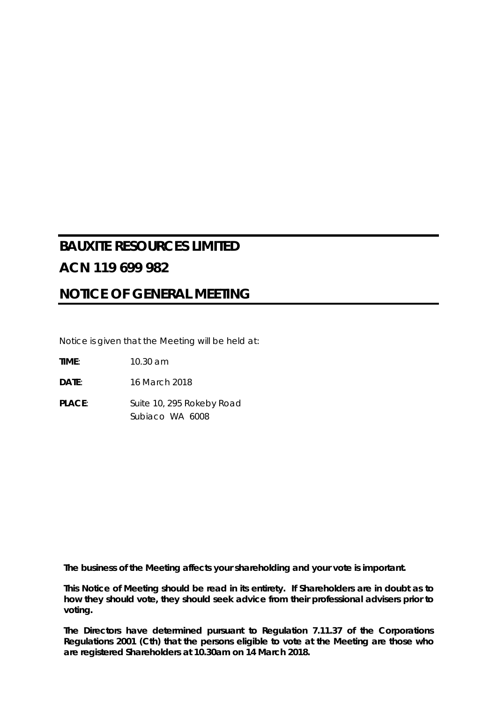# **BAUXITE RESOURCES LIMITED ACN 119 699 982**

# **NOTICE OF GENERAL MEETING**

Notice is given that the Meeting will be held at:

**TIME**: 10.30 am

**DATE**: 16 March 2018

PLACE: Suite 10, 295 Rokeby Road Subiaco WA 6008

*The business of the Meeting affects your shareholding and your vote is important.*

*This Notice of Meeting should be read in its entirety. If Shareholders are in doubt as to how they should vote, they should seek advice from their professional advisers prior to voting.*

*The Directors have determined pursuant to Regulation 7.11.37 of the Corporations Regulations 2001 (Cth) that the persons eligible to vote at the Meeting are those who are registered Shareholders at 10.30am on 14 March 2018.*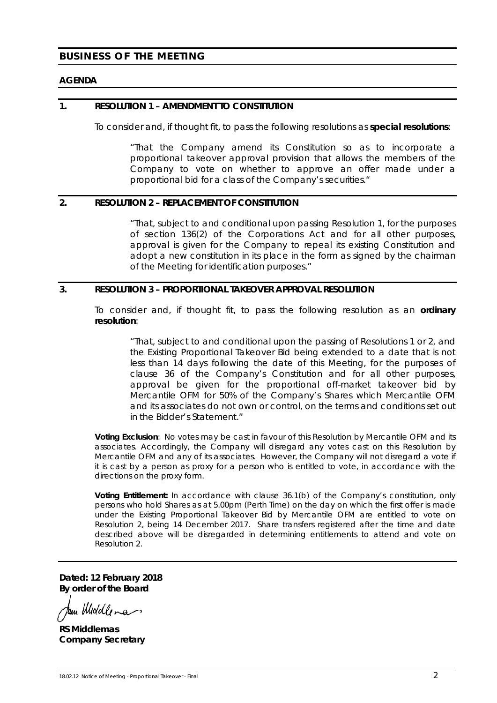# **BUSINESS OF THE MEETING**

#### **AGENDA**

#### **1. RESOLUTION 1 – AMENDMENT TO CONSTITUTION**

To consider and, if thought fit, to pass the following resolutions as **special resolutions**:

*"That the Company amend its Constitution so as to incorporate a proportional takeover approval provision that allows the members of the Company to vote on whether to approve an offer made under a proportional bid for a class of the Company's securities."*

#### **2. RESOLUTION 2 – REPLACEMENT OF CONSTITUTION**

*"That, subject to and conditional upon passing Resolution 1, for the purposes of section 136(2) of the Corporations Act and for all other purposes, approval is given for the Company to repeal its existing Constitution and*  adopt a new constitution in its place in the form as signed by the chairman *of the Meeting for identification purposes."*

#### **3. RESOLUTION 3 – PROPORTIONAL TAKEOVER APPROVAL RESOLUTION**

To consider and, if thought fit, to pass the following resolution as an **ordinary resolution**:

*"That, subject to and conditional upon the passing of Resolutions 1 or 2, and the Existing Proportional Takeover Bid being extended to a date that is not less than 14 days following the date of this Meeting, for the purposes of clause 36 of the Company's Constitution and for all other purposes, approval be given for the proportional off-market takeover bid by Mercantile OFM for 50% of the Company's Shares which Mercantile OFM and its associates do not own or control, on the terms and conditions set out in the Bidder's Statement."*

**Voting Exclusion**: No votes may be cast in favour of this Resolution by Mercantile OFM and its associates. Accordingly, the Company will disregard any votes cast on this Resolution by Mercantile OFM and any of its associates. However, the Company will not disregard a vote if it is cast by a person as proxy for a person who is entitled to vote, in accordance with the directions on the proxy form.

**Voting Entitlement:** In accordance with clause 36.1(b) of the Company's constitution, only persons who hold Shares as at 5.00pm (Perth Time) on the day on which the first offer is made under the Existing Proportional Takeover Bid by Mercantile OFM are entitled to vote on Resolution 2, being 14 December 2017. Share transfers registered after the time and date described above will be disregarded in determining entitlements to attend and vote on Resolution 2.

**Dated: 12 February 2018 By order of the Board**

tour Middle ma

**RS Middlemas Company Secretary**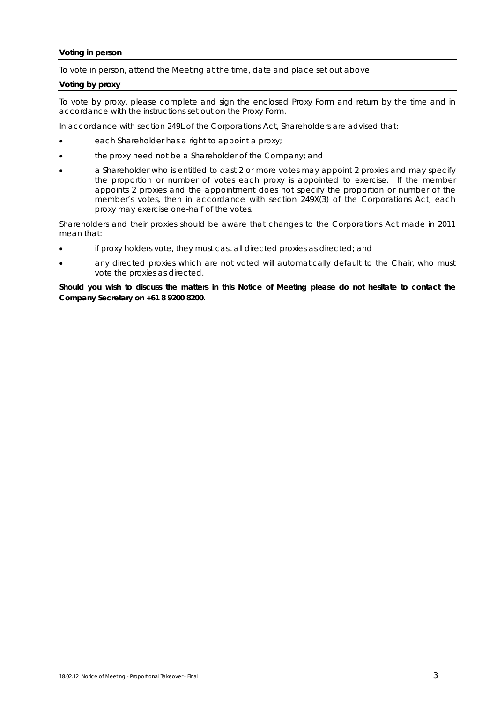#### **Voting in person**

To vote in person, attend the Meeting at the time, date and place set out above.

#### **Voting by proxy**

To vote by proxy, please complete and sign the enclosed Proxy Form and return by the time and in accordance with the instructions set out on the Proxy Form.

In accordance with section 249L of the Corporations Act, Shareholders are advised that:

- each Shareholder has a right to appoint a proxy;
- the proxy need not be a Shareholder of the Company; and
- a Shareholder who is entitled to cast 2 or more votes may appoint 2 proxies and may specify the proportion or number of votes each proxy is appointed to exercise. If the member appoints 2 proxies and the appointment does not specify the proportion or number of the member's votes, then in accordance with section 249X(3) of the Corporations Act, each proxy may exercise one-half of the votes.

Shareholders and their proxies should be aware that changes to the Corporations Act made in 2011 mean that:

- if proxy holders vote, they must cast all directed proxies as directed; and
- any directed proxies which are not voted will automatically default to the Chair, who must vote the proxies as directed.

*Should you wish to discuss the matters in this Notice of Meeting please do not hesitate to contact the Company Secretary on +61 8 9200 8200*.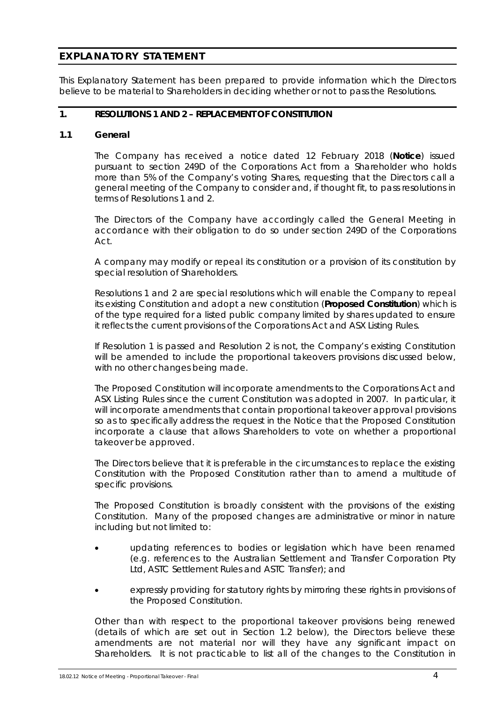# **EXPLANATORY STATEMENT**

This Explanatory Statement has been prepared to provide information which the Directors believe to be material to Shareholders in deciding whether or not to pass the Resolutions.

# **1. RESOLUTIONS 1 AND 2 – REPLACEMENT OF CONSTITUTION**

# **1.1 General**

The Company has received a notice dated 12 February 2018 (**Notice**) issued pursuant to section 249D of the Corporations Act from a Shareholder who holds more than 5% of the Company's voting Shares, requesting that the Directors call a general meeting of the Company to consider and, if thought fit, to pass resolutions in terms of Resolutions 1 and 2.

The Directors of the Company have accordingly called the General Meeting in accordance with their obligation to do so under section 249D of the Corporations Act.

A company may modify or repeal its constitution or a provision of its constitution by special resolution of Shareholders.

Resolutions 1 and 2 are special resolutions which will enable the Company to repeal its existing Constitution and adopt a new constitution (**Proposed Constitution**) which is of the type required for a listed public company limited by shares updated to ensure it reflects the current provisions of the Corporations Act and ASX Listing Rules.

If Resolution 1 is passed and Resolution 2 is not, the Company's existing Constitution will be amended to include the proportional takeovers provisions discussed below, with no other changes being made.

The Proposed Constitution will incorporate amendments to the Corporations Act and ASX Listing Rules since the current Constitution was adopted in 2007. In particular, it will incorporate amendments that contain proportional takeover approval provisions so as to specifically address the request in the Notice that the Proposed Constitution incorporate a clause that allows Shareholders to vote on whether a proportional takeover be approved.

The Directors believe that it is preferable in the circumstances to replace the existing Constitution with the Proposed Constitution rather than to amend a multitude of specific provisions.

The Proposed Constitution is broadly consistent with the provisions of the existing Constitution. Many of the proposed changes are administrative or minor in nature including but not limited to:

- updating references to bodies or legislation which have been renamed (e.g. references to the Australian Settlement and Transfer Corporation Pty Ltd, ASTC Settlement Rules and ASTC Transfer); and
- expressly providing for statutory rights by mirroring these rights in provisions of the Proposed Constitution.

Other than with respect to the proportional takeover provisions being renewed (details of which are set out in Section 1.2 below), the Directors believe these amendments are not material nor will they have any significant impact on Shareholders. It is not practicable to list all of the changes to the Constitution in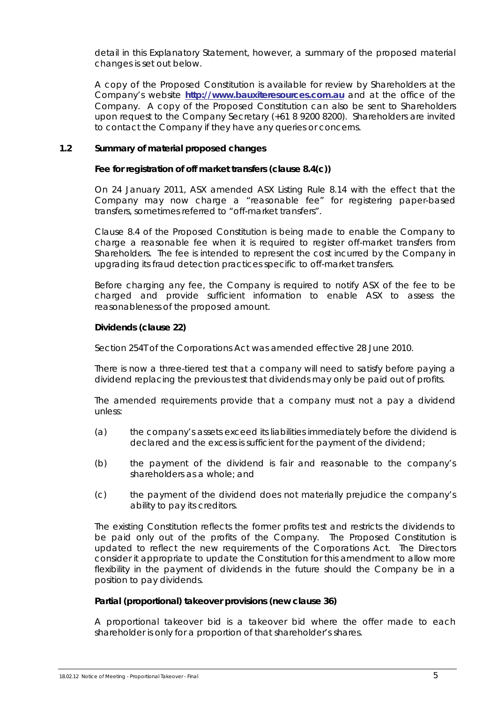detail in this Explanatory Statement, however, a summary of the proposed material changes is set out below.

A copy of the Proposed Constitution is available for review by Shareholders at the Company's website **[http://www.bauxiteresources.com.au](http://www.bauxiteresources.com.au/)** and at the office of the Company. A copy of the Proposed Constitution can also be sent to Shareholders upon request to the Company Secretary (+61 8 9200 8200). Shareholders are invited to contact the Company if they have any queries or concerns.

# **1.2 Summary of material proposed changes**

#### **Fee for registration of off market transfers (clause 8.4(c))**

On 24 January 2011, ASX amended ASX Listing Rule 8.14 with the effect that the Company may now charge a "reasonable fee" for registering paper-based transfers, sometimes referred to "off-market transfers".

Clause 8.4 of the Proposed Constitution is being made to enable the Company to charge a reasonable fee when it is required to register off-market transfers from Shareholders. The fee is intended to represent the cost incurred by the Company in upgrading its fraud detection practices specific to off-market transfers.

Before charging any fee, the Company is required to notify ASX of the fee to be charged and provide sufficient information to enable ASX to assess the reasonableness of the proposed amount.

# **Dividends (clause 22)**

Section 254T of the Corporations Act was amended effective 28 June 2010.

There is now a three-tiered test that a company will need to satisfy before paying a dividend replacing the previous test that dividends may only be paid out of profits.

The amended requirements provide that a company must not a pay a dividend unless:

- (a) the company's assets exceed its liabilities immediately before the dividend is declared and the excess is sufficient for the payment of the dividend;
- (b) the payment of the dividend is fair and reasonable to the company's shareholders as a whole; and
- (c) the payment of the dividend does not materially prejudice the company's ability to pay its creditors.

The existing Constitution reflects the former profits test and restricts the dividends to be paid only out of the profits of the Company. The Proposed Constitution is updated to reflect the new requirements of the Corporations Act. The Directors consider it appropriate to update the Constitution for this amendment to allow more flexibility in the payment of dividends in the future should the Company be in a position to pay dividends.

#### **Partial (proportional) takeover provisions (new clause 36)**

A proportional takeover bid is a takeover bid where the offer made to each shareholder is only for a proportion of that shareholder's shares.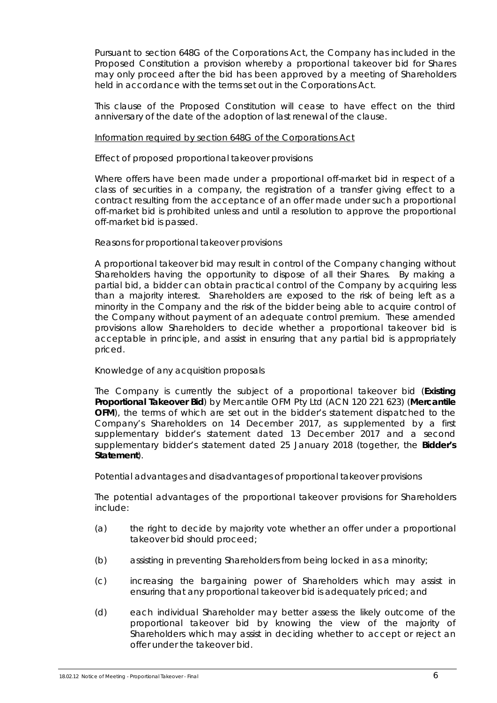Pursuant to section 648G of the Corporations Act, the Company has included in the Proposed Constitution a provision whereby a proportional takeover bid for Shares may only proceed after the bid has been approved by a meeting of Shareholders held in accordance with the terms set out in the Corporations Act.

This clause of the Proposed Constitution will cease to have effect on the third anniversary of the date of the adoption of last renewal of the clause.

#### Information required by section 648G of the Corporations Act

# *Effect of proposed proportional takeover provisions*

Where offers have been made under a proportional off-market bid in respect of a class of securities in a company, the registration of a transfer giving effect to a contract resulting from the acceptance of an offer made under such a proportional off-market bid is prohibited unless and until a resolution to approve the proportional off-market bid is passed.

# *Reasons for proportional takeover provisions*

A proportional takeover bid may result in control of the Company changing without Shareholders having the opportunity to dispose of all their Shares. By making a partial bid, a bidder can obtain practical control of the Company by acquiring less than a majority interest. Shareholders are exposed to the risk of being left as a minority in the Company and the risk of the bidder being able to acquire control of the Company without payment of an adequate control premium. These amended provisions allow Shareholders to decide whether a proportional takeover bid is acceptable in principle, and assist in ensuring that any partial bid is appropriately priced.

# *Knowledge of any acquisition proposals*

The Company is currently the subject of a proportional takeover bid (**Existing Proportional Takeover Bid**) by Mercantile OFM Pty Ltd (ACN 120 221 623) (**Mercantile OFM**), the terms of which are set out in the bidder's statement dispatched to the Company's Shareholders on 14 December 2017, as supplemented by a first supplementary bidder's statement dated 13 December 2017 and a second supplementary bidder's statement dated 25 January 2018 (together, the **Bidder's Statement**).

#### *Potential advantages and disadvantages of proportional takeover provisions*

The potential advantages of the proportional takeover provisions for Shareholders include:

- (a) the right to decide by majority vote whether an offer under a proportional takeover bid should proceed;
- (b) assisting in preventing Shareholders from being locked in as a minority;
- (c) increasing the bargaining power of Shareholders which may assist in ensuring that any proportional takeover bid is adequately priced; and
- (d) each individual Shareholder may better assess the likely outcome of the proportional takeover bid by knowing the view of the majority of Shareholders which may assist in deciding whether to accept or reject an offer under the takeover bid.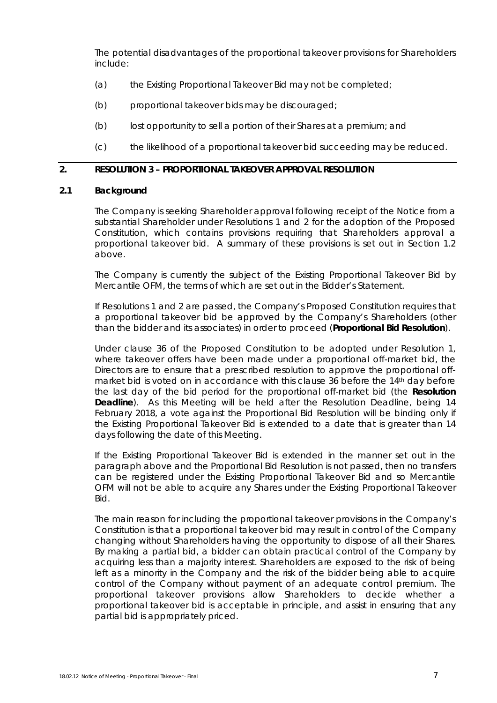The potential disadvantages of the proportional takeover provisions for Shareholders include:

- (a) the Existing Proportional Takeover Bid may not be completed;
- (b) proportional takeover bids may be discouraged;
- (b) lost opportunity to sell a portion of their Shares at a premium; and
- (c) the likelihood of a proportional takeover bid succeeding may be reduced.

# **2. RESOLUTION 3 – PROPORTIONAL TAKEOVER APPROVAL RESOLUTION**

#### **2.1 Background**

The Company is seeking Shareholder approval following receipt of the Notice from a substantial Shareholder under Resolutions 1 and 2 for the adoption of the Proposed Constitution, which contains provisions requiring that Shareholders approval a proportional takeover bid. A summary of these provisions is set out in Section 1.2 above.

The Company is currently the subject of the Existing Proportional Takeover Bid by Mercantile OFM, the terms of which are set out in the Bidder's Statement.

If Resolutions 1 and 2 are passed, the Company's Proposed Constitution requires that a proportional takeover bid be approved by the Company's Shareholders (other than the bidder and its associates) in order to proceed (**Proportional Bid Resolution**).

Under clause 36 of the Proposed Constitution to be adopted under Resolution 1, where takeover offers have been made under a proportional off-market bid, the Directors are to ensure that a prescribed resolution to approve the proportional offmarket bid is voted on in accordance with this clause 36 before the 14th day before the last day of the bid period for the proportional off-market bid (the **Resolution Deadline**). As this Meeting will be held after the Resolution Deadline, being 14 February 2018, a vote against the Proportional Bid Resolution will be binding only if the Existing Proportional Takeover Bid is extended to a date that is greater than 14 days following the date of this Meeting.

If the Existing Proportional Takeover Bid is extended in the manner set out in the paragraph above and the Proportional Bid Resolution is not passed, then no transfers can be registered under the Existing Proportional Takeover Bid and so Mercantile OFM will not be able to acquire any Shares under the Existing Proportional Takeover Bid.

The main reason for including the proportional takeover provisions in the Company's Constitution is that a proportional takeover bid may result in control of the Company changing without Shareholders having the opportunity to dispose of all their Shares. By making a partial bid, a bidder can obtain practical control of the Company by acquiring less than a majority interest. Shareholders are exposed to the risk of being left as a minority in the Company and the risk of the bidder being able to acquire control of the Company without payment of an adequate control premium. The proportional takeover provisions allow Shareholders to decide whether a proportional takeover bid is acceptable in principle, and assist in ensuring that any partial bid is appropriately priced.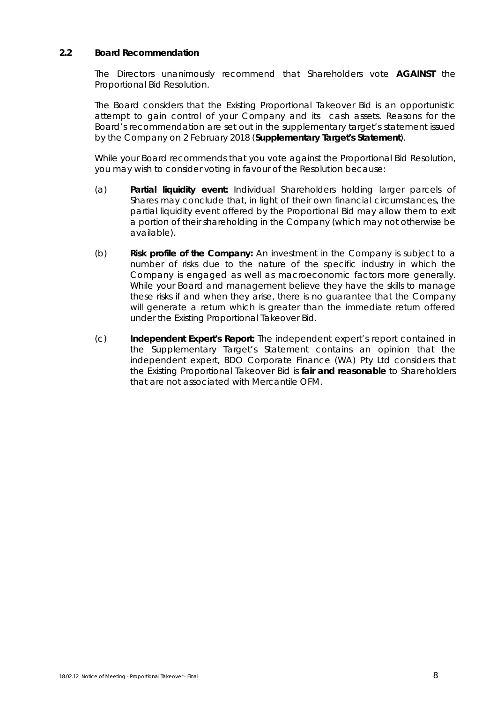# **2.2 Board Recommendation**

The Directors unanimously recommend that Shareholders vote **AGAINST** the Proportional Bid Resolution.

The Board considers that the Existing Proportional Takeover Bid is an opportunistic attempt to gain control of your Company and its cash assets. Reasons for the Board's recommendation are set out in the supplementary target's statement issued by the Company on 2 February 2018 (**Supplementary Target's Statement**).

While your Board recommends that you vote against the Proportional Bid Resolution, you may wish to consider voting in favour of the Resolution because:

- (a) **Partial liquidity event:** Individual Shareholders holding larger parcels of Shares may conclude that, in light of their own financial circumstances, the partial liquidity event offered by the Proportional Bid may allow them to exit a portion of their shareholding in the Company (which may not otherwise be available).
- (b) **Risk profile of the Company:** An investment in the Company is subject to a number of risks due to the nature of the specific industry in which the Company is engaged as well as macroeconomic factors more generally. While your Board and management believe they have the skills to manage these risks if and when they arise, there is no guarantee that the Company will generate a return which is greater than the immediate return offered under the Existing Proportional Takeover Bid.
- (c) **Independent Expert's Report:** The independent expert's report contained in the Supplementary Target's Statement contains an opinion that the independent expert, BDO Corporate Finance (WA) Pty Ltd considers that the Existing Proportional Takeover Bid is **fair and reasonable** to Shareholders that are not associated with Mercantile OFM.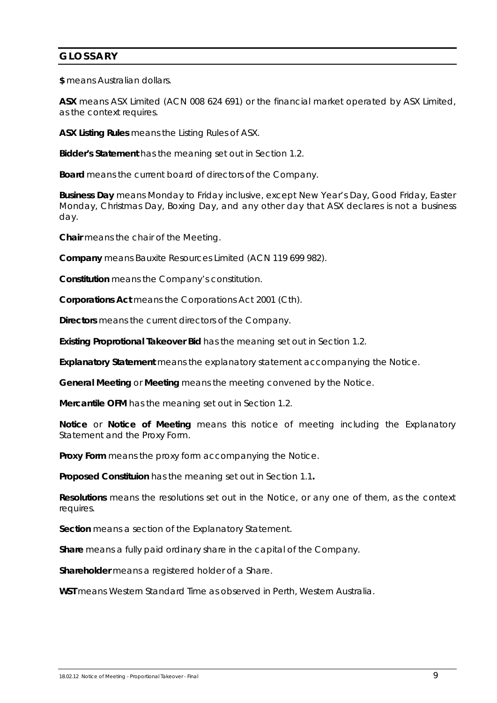# **GLOSSARY**

**\$** means Australian dollars.

**ASX** means ASX Limited (ACN 008 624 691) or the financial market operated by ASX Limited, as the context requires.

**ASX Listing Rules** means the Listing Rules of ASX.

**Bidder's Statement** has the meaning set out in Section 1.2.

**Board** means the current board of directors of the Company.

**Business Day** means Monday to Friday inclusive, except New Year's Day, Good Friday, Easter Monday, Christmas Day, Boxing Day, and any other day that ASX declares is not a business day.

**Chair** means the chair of the Meeting.

**Company** means Bauxite Resources Limited (ACN 119 699 982).

**Constitution** means the Company's constitution.

**Corporations Act** means the *Corporations Act 2001* (Cth).

**Directors** means the current directors of the Company.

**Existing Proprotional Takeover Bid** has the meaning set out in Section 1.2.

**Explanatory Statement** means the explanatory statement accompanying the Notice.

**General Meeting** or **Meeting** means the meeting convened by the Notice.

**Mercantile OFM** has the meaning set out in Section 1.2.

**Notice** or **Notice of Meeting** means this notice of meeting including the Explanatory Statement and the Proxy Form.

**Proxy Form** means the proxy form accompanying the Notice.

**Proposed Constituion** has the meaning set out in Section 1.1**.**

**Resolutions** means the resolutions set out in the Notice, or any one of them, as the context requires.

**Section** means a section of the Explanatory Statement.

**Share** means a fully paid ordinary share in the capital of the Company.

**Shareholder** means a registered holder of a Share.

**WST** means Western Standard Time as observed in Perth, Western Australia.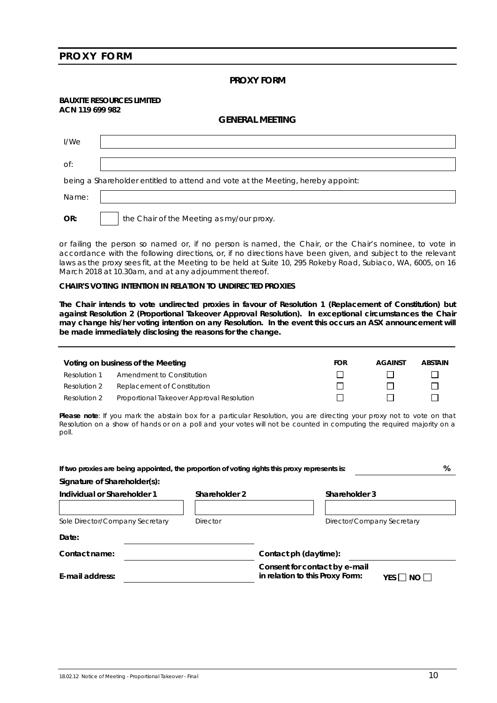#### **PROXY FORM**

#### **PROXY FORM**

#### **BAUXITE RESOURCES LIMITED ACN 119 699 982**

#### **GENERAL MEETING**

| I/We                                                                            |                                           |  |  |  |  |
|---------------------------------------------------------------------------------|-------------------------------------------|--|--|--|--|
| Of:                                                                             |                                           |  |  |  |  |
| being a Shareholder entitled to attend and vote at the Meeting, hereby appoint: |                                           |  |  |  |  |
| Name:                                                                           |                                           |  |  |  |  |
| OR:                                                                             | the Chair of the Meeting as my/our proxy. |  |  |  |  |

or failing the person so named or, if no person is named, the Chair, or the Chair's nominee, to vote in accordance with the following directions, or, if no directions have been given, and subject to the relevant laws as the proxy sees fit, at the Meeting to be held at Suite 10, 295 Rokeby Road, Subiaco, WA, 6005, on 16 March 2018 at 10.30am, and at any adjournment thereof.

#### **CHAIR'S VOTING INTENTION IN RELATION TO UNDIRECTED PROXIES**

**The Chair intends to vote undirected proxies in favour of Resolution 1 (Replacement of Constitution) but against Resolution 2 (Proportional Takeover Approval Resolution). In exceptional circumstances the Chair may change his/her voting intention on any Resolution. In the event this occurs an ASX announcement will be made immediately disclosing the reasons for the change.**

|              | Voting on business of the Meeting         | <b>FOR</b> | <b>AGAINST</b> | <b>ABSTAIN</b> |
|--------------|-------------------------------------------|------------|----------------|----------------|
| Resolution 1 | Amendment to Constitution                 |            |                |                |
| Resolution 2 | Replacement of Constitution               |            |                |                |
| Resolution 2 | Proportional Takeover Approval Resolution |            |                |                |

**Please note**: If you mark the abstain box for a particular Resolution, you are directing your proxy not to vote on that Resolution on a show of hands or on a poll and your votes will not be counted in computing the required majority on a poll.

| If two proxies are being appointed, the proportion of voting rights this proxy represents is: |                 | %                                                                                        |  |  |
|-----------------------------------------------------------------------------------------------|-----------------|------------------------------------------------------------------------------------------|--|--|
| Signature of Shareholder(s):                                                                  |                 |                                                                                          |  |  |
| Individual or Shareholder 1                                                                   | Shareholder 2   | Shareholder 3                                                                            |  |  |
|                                                                                               |                 |                                                                                          |  |  |
| Sole Director/Company Secretary                                                               | <b>Director</b> | Director/Company Secretary                                                               |  |  |
| Date:                                                                                         |                 |                                                                                          |  |  |
| Contact name:                                                                                 |                 | Contact ph (daytime):                                                                    |  |  |
| E-mail address:                                                                               |                 | Consent for contact by e-mail<br>in relation to this Proxy Form:<br>YES $\Box$ NO $\Box$ |  |  |